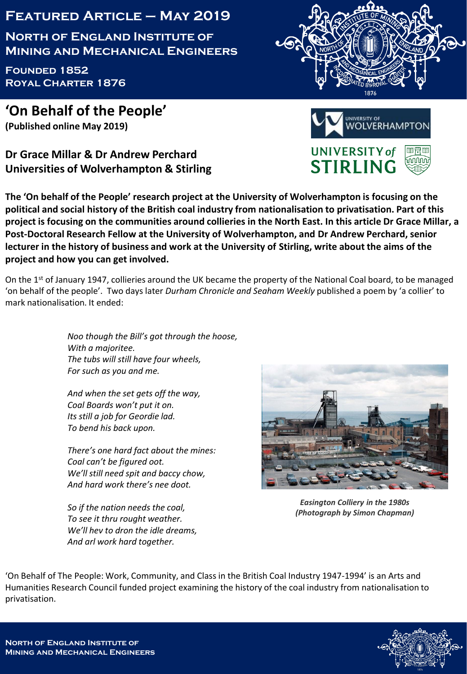## **Featured Article – May 2019**

**North of England Institute of Mining and Mechanical Engineers**

**Founded 1852 Royal Charter 1876**

**'On Behalf of the People' (Published online May 2019)**

**Dr Grace Millar & Dr Andrew Perchard Universities of Wolverhampton & Stirling**

**The 'On behalf of the People' research project at the University of Wolverhampton is focusing on the political and social history of the British coal industry from nationalisation to privatisation. Part of this project is focusing on the communities around collieries in the North East. In this article Dr Grace Millar, a Post-Doctoral Research Fellow at the University of Wolverhampton, and Dr Andrew Perchard, senior lecturer in the history of business and work at the University of Stirling, write about the aims of the project and how you can get involved.**

On the 1<sup>st</sup> of January 1947, collieries around the UK became the property of the National Coal board, to be managed 'on behalf of the people'. Two days later *Durham Chronicle and Seaham Weekly* published a poem by 'a collier' to mark nationalisation. It ended:

> *Noo though the Bill's got through the hoose, With a majoritee. The tubs will still have four wheels, For such as you and me.*

*And when the set gets off the way, Coal Boards won't put it on. Its still a job for Geordie lad. To bend his back upon.*

*There's one hard fact about the mines: Coal can't be figured oot. We'll still need spit and baccy chow, And hard work there's nee doot.*

*So if the nation needs the coal, To see it thru rought weather. We'll hev to dron the idle dreams, And arl work hard together.*





*Easington Colliery in the 1980s (Photograph by Simon Chapman)*